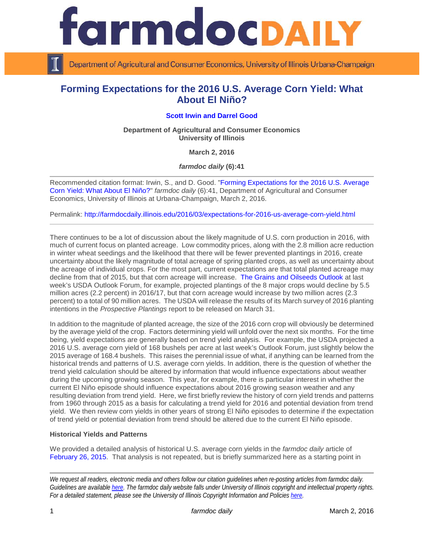

Department of Agricultural and Consumer Economics, University of Illinois Urbana-Champaign

# **Forming Expectations for the 2016 U.S. Average Corn Yield: What About El Niño?**

## **[Scott Irwin](http://www.farmdoc.illinois.edu/irwin/) and [Darrel Good](http://farmdoc.illinois.edu/good/)**

**Department of Agricultural and Consumer Economics University of Illinois**

**March 2, 2016**

*farmdoc daily* **(6):41**

Recommended citation format: Irwin, S., and D. Good. ["Forming Expectations for the 2016 U.S. Average](http://farmdocdaily.illinois.edu/2016/03/expectations-for-2016-us-average-corn-yield.html)  [Corn Yield: What About El Niño?"](http://farmdocdaily.illinois.edu/2016/03/expectations-for-2016-us-average-corn-yield.html) *farmdoc daily* (6):41, Department of Agricultural and Consumer Economics, University of Illinois at Urbana-Champaign, March 2, 2016.

Permalink: <http://farmdocdaily.illinois.edu/2016/03/expectations-for-2016-us-average-corn-yield.html>

There continues to be a lot of discussion about the likely magnitude of U.S. corn production in 2016, with much of current focus on planted acreage. Low commodity prices, along with the 2.8 million acre reduction in winter wheat seedings and the likelihood that there will be fewer prevented plantings in 2016, create uncertainty about the likely magnitude of total acreage of spring planted crops, as well as uncertainty about the acreage of individual crops. For the most part, current expectations are that total planted acreage may decline from that of 2015, but that corn acreage will increase. [The Grains and Oilseeds Outlook](http://www.usda.gov/oce/forum/2016_speeches/GO_AOF2016_FINAL.pdf) at last week's USDA Outlook Forum, for example, projected plantings of the 8 major crops would decline by 5.5 million acres (2.2 percent) in 2016/17, but that corn acreage would increase by two million acres (2.3 percent) to a total of 90 million acres. The USDA will release the results of its March survey of 2016 planting intentions in the *Prospective Plantings* report to be released on March 31.

In addition to the magnitude of planted acreage, the size of the 2016 corn crop will obviously be determined by the average yield of the crop. Factors determining yield will unfold over the next six months. For the time being, yield expectations are generally based on trend yield analysis. For example, the USDA projected a 2016 U.S. average corn yield of 168 bushels per acre at last week's Outlook Forum, just slightly below the 2015 average of 168.4 bushels. This raises the perennial issue of what, if anything can be learned from the historical trends and patterns of U.S. average corn yields. In addition, there is the question of whether the trend yield calculation should be altered by information that would influence expectations about weather during the upcoming growing season. This year, for example, there is particular interest in whether the current El Niño episode should influence expectations about 2016 growing season weather and any resulting deviation from trend yield. Here, we first briefly review the history of corn yield trends and patterns from 1960 through 2015 as a basis for calculating a trend yield for 2016 and potential deviation from trend yield. We then review corn yields in other years of strong El Niño episodes to determine if the expectation of trend yield or potential deviation from trend should be altered due to the current El Niño episode.

## **Historical Yields and Patterns**

We provided a detailed analysis of historical U.S. average corn yields in the *farmdoc daily* article of [February 26, 2015.](http://farmdocdaily.illinois.edu/2015/02/expectations-for-2015-us-average-corn-yield.html) That analysis is not repeated, but is briefly summarized here as a starting point in

*We request all readers, electronic media and others follow our citation guidelines when re-posting articles from farmdoc daily. Guidelines are available [here.](http://farmdocdaily.illinois.edu/citationguide.html) The farmdoc daily website falls under University of Illinois copyright and intellectual property rights. For a detailed statement, please see the University of Illinois Copyright Information and Policies [here.](http://www.cio.illinois.edu/policies/copyright/)*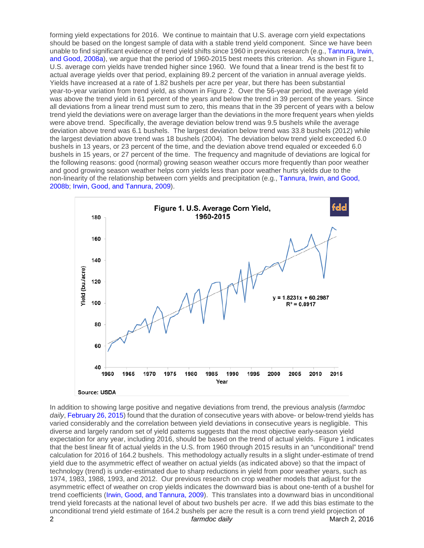forming yield expectations for 2016. We continue to maintain that U.S. average corn yield expectations should be based on the longest sample of data with a stable trend yield component. Since we have been unable to find significant evidence of trend yield shifts since 1960 in previous research (e.g., [Tannura, Irwin,](http://www.farmdoc.illinois.edu/marketing/mobr/mobr_08-02/mobr_08-02.pdf)  [and Good, 2008a\)](http://www.farmdoc.illinois.edu/marketing/mobr/mobr_08-02/mobr_08-02.pdf), we argue that the period of 1960-2015 best meets this criterion. As shown in Figure 1, U.S. average corn yields have trended higher since 1960. We found that a linear trend is the best fit to actual average yields over that period, explaining 89.2 percent of the variation in annual average yields. Yields have increased at a rate of 1.82 bushels per acre per year, but there has been substantial year-to-year variation from trend yield, as shown in Figure 2. Over the 56-year period, the average yield was above the trend yield in 61 percent of the years and below the trend in 39 percent of the years. Since all deviations from a linear trend must sum to zero, this means that in the 39 percent of years with a below trend yield the deviations were on average larger than the deviations in the more frequent years when yields were above trend. Specifically, the average deviation below trend was 9.5 bushels while the average deviation above trend was 6.1 bushels. The largest deviation below trend was 33.8 bushels (2012) while the largest deviation above trend was 18 bushels (2004). The deviation below trend yield exceeded 6.0 bushels in 13 years, or 23 percent of the time, and the deviation above trend equaled or exceeded 6.0 bushels in 15 years, or 27 percent of the time. The frequency and magnitude of deviations are logical for the following reasons: good (normal) growing season weather occurs more frequently than poor weather and good growing season weather helps corn yields less than poor weather hurts yields due to the non-linearity of the relationship between corn yields and precipitation (e.g., [Tannura, Irwin, and Good,](http://www.farmdoc.illinois.edu/marketing/morr/morr_08-01/morr_08-01.pdf)  [2008b;](http://www.farmdoc.illinois.edu/marketing/morr/morr_08-01/morr_08-01.pdf) [Irwin, Good, and Tannura, 2009\)](http://www.farmdoc.illinois.edu/marketing/mobr/mobr_09-01/mobr_09-01.pdf).



In addition to showing large positive and negative deviations from trend, the previous analysis (*farmdoc daily*[, February 26, 2015\)](http://farmdocdaily.illinois.edu/2015/02/expectations-for-2015-us-average-corn-yield.html) found that the duration of consecutive years with above- or below-trend yields has varied considerably and the correlation between yield deviations in consecutive years is negligible. This diverse and largely random set of yield patterns suggests that the most objective early-season yield expectation for any year, including 2016, should be based on the trend of actual yields. Figure 1 indicates that the best linear fit of actual yields in the U.S. from 1960 through 2015 results in an "unconditional" trend calculation for 2016 of 164.2 bushels. This methodology actually results in a slight under-estimate of trend yield due to the asymmetric effect of weather on actual yields (as indicated above) so that the impact of technology (trend) is under-estimated due to sharp reductions in yield from poor weather years, such as 1974, 1983, 1988, 1993, and 2012. Our previous research on crop weather models that adjust for the asymmetric effect of weather on crop yields indicates the downward bias is about one-tenth of a bushel for trend coefficients [\(Irwin, Good, and Tannura, 2009\)](http://www.farmdoc.illinois.edu/marketing/mobr/mobr_09-01/mobr_09-01.pdf). This translates into a downward bias in unconditional trend yield forecasts at the national level of about two bushels per acre. If we add this bias estimate to the unconditional trend yield estimate of 164.2 bushels per acre the result is a corn trend yield projection of 2 *farmdoc daily* March 2, 2016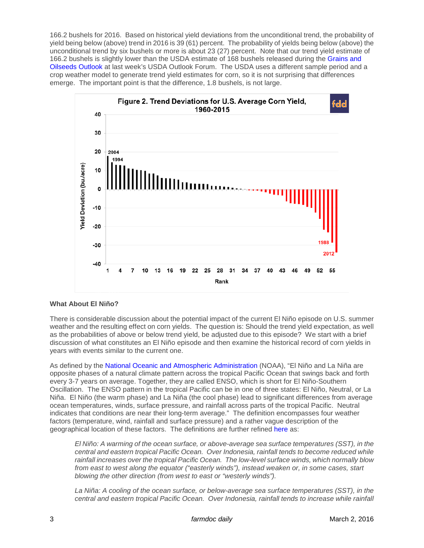166.2 bushels for 2016. Based on historical yield deviations from the unconditional trend, the probability of yield being below (above) trend in 2016 is 39 (61) percent. The probability of yields being below (above) the unconditional trend by six bushels or more is about 23 (27) percent. Note that our trend yield estimate of 166.2 bushels is slightly lower than the USDA estimate of 168 bushels released during the [Grains and](http://www.usda.gov/oce/forum/2016_speeches/GO_AOF2016_FINAL.pdf)  [Oilseeds Outlook](http://www.usda.gov/oce/forum/2016_speeches/GO_AOF2016_FINAL.pdf) at last week's USDA Outlook Forum. The USDA uses a different sample period and a crop weather model to generate trend yield estimates for corn, so it is not surprising that differences emerge. The important point is that the difference, 1.8 bushels, is not large.



#### **What About El Niño?**

There is considerable discussion about the potential impact of the current El Niño episode on U.S. summer weather and the resulting effect on corn yields. The question is: Should the trend yield expectation, as well as the probabilities of above or below trend yield, be adjusted due to this episode? We start with a brief discussion of what constitutes an El Niño episode and then examine the historical record of corn yields in years with events similar to the current one.

As defined by the [National Oceanic and Atmospheric Administration](https://www.climate.gov/news-features/understanding-climate/el-ni%C3%B1o-and-la-ni%C3%B1a-frequently-asked-questions) (NOAA), "El Niño and La Niña are opposite phases of a natural climate pattern across the tropical Pacific Ocean that swings back and forth every 3-7 years on average. Together, they are called ENSO, which is short for El Niño-Southern Oscillation. The ENSO pattern in the tropical Pacific can be in one of three states: El Niño, Neutral, or La Niña. El Niño (the warm phase) and La Niña (the cool phase) lead to significant differences from average ocean temperatures, winds, surface pressure, and rainfall across parts of the tropical Pacific. Neutral indicates that conditions are near their long-term average." The definition encompasses four weather factors (temperature, wind, rainfall and surface pressure) and a rather vague description of the geographical location of these factors. The definitions are further refined [here](https://www.climate.gov/news-features/blogs/enso/what-el-ni%C3%B1o%E2%80%93southern-oscillation-enso-nutshell) as:

*El Niño: A warming of the ocean surface, or above-average sea surface temperatures (SST), in the central and eastern tropical Pacific Ocean. Over Indonesia, rainfall tends to become reduced while rainfall increases over the tropical Pacific Ocean. The low-level surface winds, which normally blow from east to west along the equator ("easterly winds"), instead weaken or, in some cases, start blowing the other direction (from west to east or "westerly winds").*

*La Niña: A cooling of the ocean surface, or below-average sea surface temperatures (SST), in the central and eastern tropical Pacific Ocean. Over Indonesia, rainfall tends to increase while rainfall*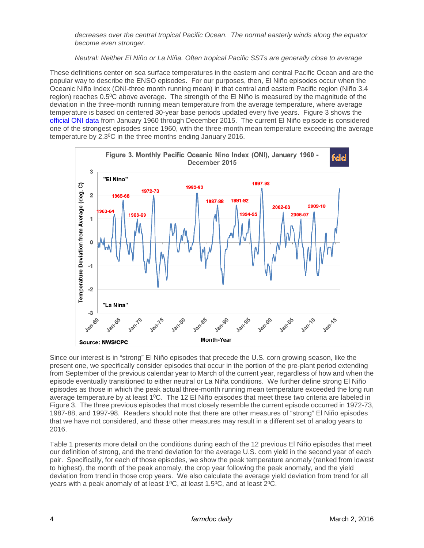*decreases over the central tropical Pacific Ocean. The normal easterly winds along the equator become even stronger.*

*Neutral: Neither El Niño or La Niña. Often tropical Pacific SSTs are generally close to average* 

These definitions center on sea surface temperatures in the eastern and central Pacific Ocean and are the popular way to describe the ENSO episodes. For our purposes, then, El Niño episodes occur when the Oceanic Niño Index (ONI-three month running mean) in that central and eastern Pacific region (Niño 3.4 region) reaches 0.5<sup>o</sup>C above average. The strength of the El Niño is measured by the magnitude of the deviation in the three-month running mean temperature from the average temperature, where average temperature is based on centered 30-year base periods updated every five years. Figure 3 shows the [official ONI data](http://www.cpc.ncep.noaa.gov/products/analysis_monitoring/ensostuff/ensoyears.shtml) from January 1960 through December 2015. The current El Niño episode is considered one of the strongest episodes since 1960, with the three-month mean temperature exceeding the average temperature by 2.3°C in the three months ending January 2016.



Since our interest is in "strong" El Niño episodes that precede the U.S. corn growing season, like the present one, we specifically consider episodes that occur in the portion of the pre-plant period extending from September of the previous calendar year to March of the current year, regardless of how and when the episode eventually transitioned to either neutral or La Niña conditions. We further define strong El Niño episodes as those in which the peak actual three-month running mean temperature exceeded the long run average temperature by at least  $1^{\circ}$ C. The 12 El Niño episodes that meet these two criteria are labeled in Figure 3. The three previous episodes that most closely resemble the current episode occurred in 1972-73, 1987-88, and 1997-98. Readers should note that there are other measures of "strong" El Niño episodes that we have not considered, and these other measures may result in a different set of analog years to 2016.

Table 1 presents more detail on the conditions during each of the 12 previous El Niño episodes that meet our definition of strong, and the trend deviation for the average U.S. corn yield in the second year of each pair. Specifically, for each of those episodes, we show the peak temperature anomaly (ranked from lowest to highest), the month of the peak anomaly, the crop year following the peak anomaly, and the yield deviation from trend in those crop years. We also calculate the average yield deviation from trend for all years with a peak anomaly of at least 1<sup>o</sup>C, at least 1.5<sup>o</sup>C, and at least 2<sup>o</sup>C.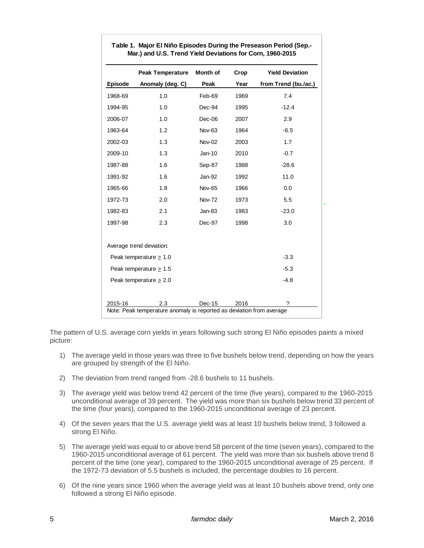|                                                                      | <b>Peak Temperature</b>  | <b>Month of</b> | Crop | <b>Yield Deviation</b> |
|----------------------------------------------------------------------|--------------------------|-----------------|------|------------------------|
| <b>Episode</b>                                                       | Anomaly (deg. C)         | Peak            | Year | from Trend (bu./ac.)   |
| 1968-69                                                              | 1.0                      | Feb-69          | 1969 | 7.4                    |
| 1994-95                                                              | 1.0                      | Dec-94          | 1995 | $-12.4$                |
| 2006-07                                                              | 1.0                      | Dec-06          | 2007 | 2.9                    |
| 1963-64                                                              | 1.2                      | Nov-63          | 1964 | $-6.5$                 |
| 2002-03                                                              | 1.3                      | <b>Nov-02</b>   | 2003 | 1.7                    |
| 2009-10                                                              | 1.3                      | Jan-10          | 2010 | $-0.7$                 |
| 1987-88                                                              | 1.6                      | Sep-87          | 1988 | $-28.6$                |
| 1991-92                                                              | 1.6                      | Jan-92          | 1992 | 11.0                   |
| 1965-66                                                              | 1.8                      | <b>Nov-65</b>   | 1966 | 0.0                    |
| 1972-73                                                              | 2.0                      | <b>Nov-72</b>   | 1973 | 5.5                    |
| 1982-83                                                              | 2.1                      | $Jan-83$        | 1983 | $-23.0$                |
| 1997-98                                                              | 2.3                      | Dec-97          | 1998 | 3.0                    |
|                                                                      | Average trend deviation: |                 |      |                        |
| Peak temperature $\geq 1.0$                                          |                          |                 |      | $-3.3$                 |
| Peak temperature $\geq 1.5$                                          |                          |                 |      | $-5.3$                 |
| Peak temperature $\geq 2.0$                                          |                          |                 |      | $-4.8$                 |
| 2015-16                                                              | 2.3                      | Dec-15          | 2016 | ?                      |
| Note: Peak temperature anomaly is reported as deviation from average |                          |                 |      |                        |

**Table 1. Major El Niño Episodes During the Preseason Period (Sep.- Mar.) and U.S. Trend Yield Deviations for Corn, 1960-2015**

The pattern of U.S. average corn yields in years following such strong El Niño episodes paints a mixed picture:

- 1) The average yield in those years was three to five bushels below trend, depending on how the years are grouped by strength of the El Niño.
- 2) The deviation from trend ranged from -28.6 bushels to 11 bushels.
- 3) The average yield was below trend 42 percent of the time (five years), compared to the 1960-2015 unconditional average of 39 percent. The yield was more than six bushels below trend 33 percent of the time (four years), compared to the 1960-2015 unconditional average of 23 percent.
- 4) Of the seven years that the U.S. average yield was at least 10 bushels below trend, 3 followed a strong El Niño.
- 5) The average yield was equal to or above trend 58 percent of the time (seven years), compared to the 1960-2015 unconditional average of 61 percent. The yield was more than six bushels above trend 8 percent of the time (one year), compared to the 1960-2015 unconditional average of 25 percent. If the 1972-73 deviation of 5.5 bushels is included, the percentage doubles to 16 percent.
- 6) Of the nine years since 1960 when the average yield was at least 10 bushels above trend, only one followed a strong El Niño episode.

 $\mathbf{r}$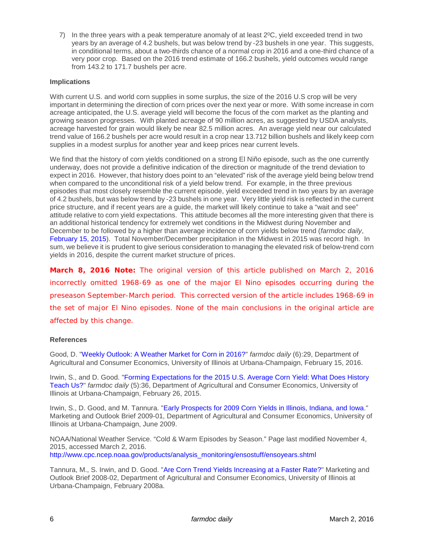7) In the three years with a peak temperature anomaly of at least  $2^{\circ}$ C, yield exceeded trend in two years by an average of 4.2 bushels, but was below trend by -23 bushels in one year. This suggests, in conditional terms, about a two-thirds chance of a normal crop in 2016 and a one-third chance of a very poor crop. Based on the 2016 trend estimate of 166.2 bushels, yield outcomes would range from 143.2 to 171.7 bushels per acre.

### **Implications**

With current U.S. and world corn supplies in some surplus, the size of the 2016 U.S crop will be very important in determining the direction of corn prices over the next year or more. With some increase in corn acreage anticipated, the U.S. average yield will become the focus of the corn market as the planting and growing season progresses. With planted acreage of 90 million acres, as suggested by USDA analysts, acreage harvested for grain would likely be near 82.5 million acres. An average yield near our calculated trend value of 166.2 bushels per acre would result in a crop near 13.712 billion bushels and likely keep corn supplies in a modest surplus for another year and keep prices near current levels.

We find that the history of corn yields conditioned on a strong El Niño episode, such as the one currently underway, does not provide a definitive indication of the direction or magnitude of the trend deviation to expect in 2016. However, that history does point to an "elevated" risk of the average yield being below trend when compared to the unconditional risk of a yield below trend. For example, in the three previous episodes that most closely resemble the current episode, yield exceeded trend in two years by an average of 4.2 bushels, but was below trend by -23 bushels in one year. Very little yield risk is reflected in the current price structure, and if recent years are a guide, the market will likely continue to take a "wait and see" attitude relative to corn yield expectations. This attitude becomes all the more interesting given that there is an additional historical tendency for extremely wet conditions in the Midwest during November and December to be followed by a higher than average incidence of corn yields below trend (*farmdoc daily*, [February 15, 2015\)](http://farmdocdaily.illinois.edu/2016/02/weather-market-for-corn-2016.html). Total November/December precipitation in the Midwest in 2015 was record high. In sum, we believe it is prudent to give serious consideration to managing the elevated risk of below-trend corn yields in 2016, despite the current market structure of prices.

*March 8, 2016 Note: The original version of this article published on March 2, 2016 incorrectly omitted 1968-69 as one of the major El Nino episodes occurring during the preseason September-March period. This corrected version of the article includes 1968-69 in the set of major El Nino episodes. None of the main conclusions in the original article are affected by this change.*

#### **References**

Good, D. ["Weekly Outlook: A Weather Market for Corn in 2016?"](http://farmdocdaily.illinois.edu/2016/02/weather-market-for-corn-2016.html) *farmdoc daily* (6):29, Department of Agricultural and Consumer Economics, University of Illinois at Urbana-Champaign, February 15, 2016.

Irwin, S., and D. Good. ["Forming Expectations for the 2015 U.S. Average Corn Yield: What Does History](http://farmdocdaily.illinois.edu/2015/02/expectations-for-2015-us-average-corn-yield.html)  [Teach Us?"](http://farmdocdaily.illinois.edu/2015/02/expectations-for-2015-us-average-corn-yield.html) *farmdoc daily* (5):36, Department of Agricultural and Consumer Economics, University of Illinois at Urbana-Champaign, February 26, 2015.

Irwin, S., D. Good, and M. Tannura. ["Early Prospects for 2009 Corn Yields in Illinois, Indiana, and Iowa.](http://www.farmdoc.illinois.edu/marketing/mobr/mobr_09-01/mobr_09-01.pdf)" Marketing and Outlook Brief 2009-01, Department of Agricultural and Consumer Economics, University of Illinois at Urbana-Champaign, June 2009.

NOAA/National Weather Service. "Cold & Warm Episodes by Season." Page last modified November 4, 2015, accessed March 2, 2016. [http://www.cpc.ncep.noaa.gov/products/analysis\\_monitoring/ensostuff/ensoyears.shtml](http://www.cpc.ncep.noaa.gov/products/analysis_monitoring/ensostuff/ensoyears.shtml)

Tannura, M., S. Irwin, and D. Good. ["Are Corn Trend Yields Increasing at a Faster Rate?"](http://www.farmdoc.illinois.edu/marketing/mobr/mobr_08-02/mobr_08-02.pdf) Marketing and Outlook Brief 2008-02, Department of Agricultural and Consumer Economics, University of Illinois at Urbana-Champaign, February 2008a.